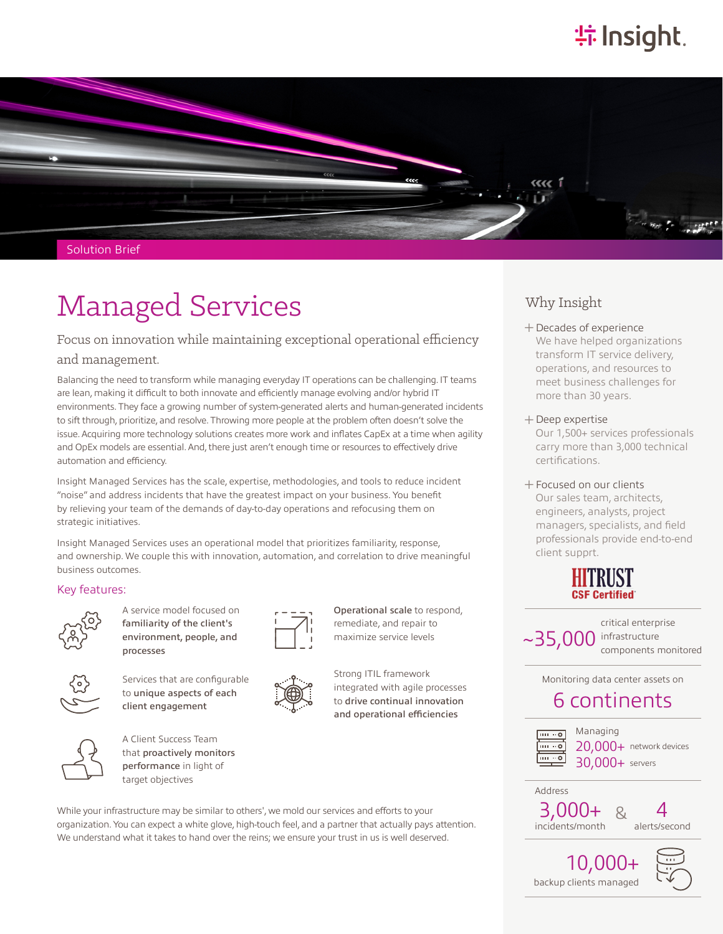# **特Insight**



# Solution Brief

# Managed Services Why Insight

# Focus on innovation while maintaining exceptional operational efficiency

# and management.

Balancing the need to transform while managing everyday IT operations can be challenging. IT teams are lean, making it difficult to both innovate and efficiently manage evolving and/or hybrid IT environments. They face a growing number of system-generated alerts and human-generated incidents to sift through, prioritize, and resolve. Throwing more people at the problem often doesn't solve the issue. Acquiring more technology solutions creates more work and inflates CapEx at a time when agility and OpEx models are essential. And, there just aren't enough time or resources to effectively drive automation and efficiency.

Insight Managed Services has the scale, expertise, methodologies, and tools to reduce incident "noise" and address incidents that have the greatest impact on your business. You benefit by relieving your team of the demands of day-to-day operations and refocusing them on strategic initiatives.

Insight Managed Services uses an operational model that prioritizes familiarity, response, and ownership. We couple this with innovation, automation, and correlation to drive meaningful business outcomes.

# Key features:



A service model focused on familiarity of the client's environment, people, and processes



Services that are configurable to unique aspects of each client engagement



A Client Success Team that proactively monitors performance in light of target objectives



Operational scale to respond, remediate, and repair to maximize service levels

Strong ITIL framework integrated with agile processes to drive continual innovation and operational efficiencies

## While your infrastructure may be similar to others', we mold our services and efforts to your organization. You can expect a white glove, high-touch feel, and a partner that actually pays attention. We understand what it takes to hand over the reins; we ensure your trust in us is well deserved.

͓Decades of experience We have helped organizations transform IT service delivery, operations, and resources to meet business challenges for more than 30 years.

## ͓Deep expertise

Our 1,500+ services professionals carry more than 3,000 technical certifications.

͓Focused on our clients Our sales team, architects, engineers, analysts, project managers, specialists, and field professionals provide end-to-end client supprt.



~35,000 critical enterprise infrastructure components monitored

Monitoring data center assets on

# 6 continents



Address

20,000+ network devices 30,000+ servers Managing

3,000+ incidents/month & 4

alerts/second

10,000+ backup clients managed